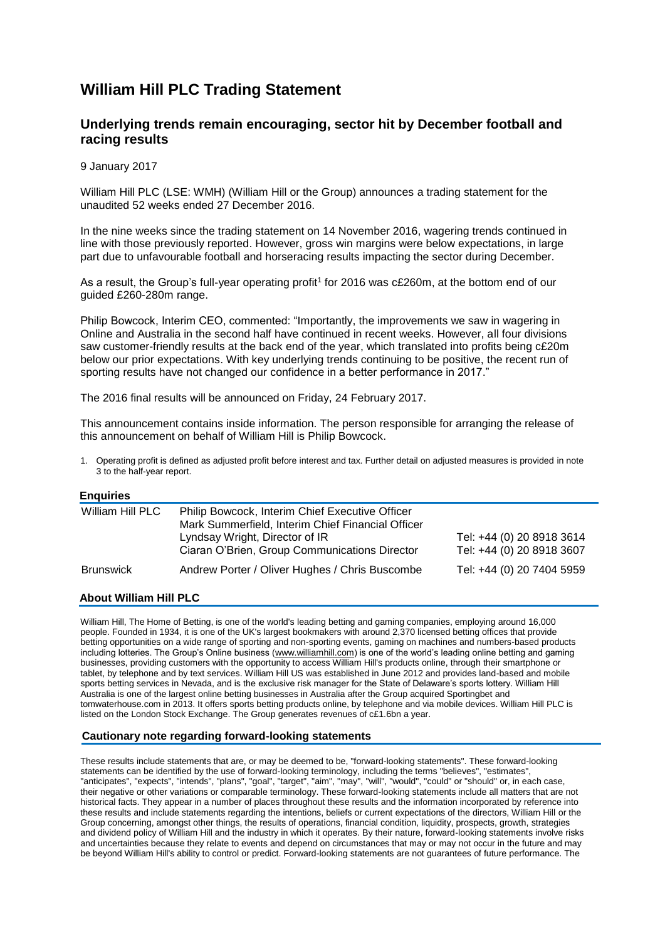# **William Hill PLC Trading Statement**

## **Underlying trends remain encouraging, sector hit by December football and racing results**

9 January 2017

William Hill PLC (LSE: WMH) (William Hill or the Group) announces a trading statement for the unaudited 52 weeks ended 27 December 2016.

In the nine weeks since the trading statement on 14 November 2016, wagering trends continued in line with those previously reported. However, gross win margins were below expectations, in large part due to unfavourable football and horseracing results impacting the sector during December.

As a result, the Group's full-year operating profit<sup>1</sup> for 2016 was c£260m, at the bottom end of our guided £260-280m range.

Philip Bowcock, Interim CEO, commented: "Importantly, the improvements we saw in wagering in Online and Australia in the second half have continued in recent weeks. However, all four divisions saw customer-friendly results at the back end of the year, which translated into profits being c£20m below our prior expectations. With key underlying trends continuing to be positive, the recent run of sporting results have not changed our confidence in a better performance in 2017."

The 2016 final results will be announced on Friday, 24 February 2017.

This announcement contains inside information. The person responsible for arranging the release of this announcement on behalf of William Hill is Philip Bowcock.

1. Operating profit is defined as adjusted profit before interest and tax. Further detail on adjusted measures is provided in note 3 to the half-year report.

### **Enquiries**

| William Hill PLC | Philip Bowcock, Interim Chief Executive Officer<br>Mark Summerfield, Interim Chief Financial Officer |                                                        |
|------------------|------------------------------------------------------------------------------------------------------|--------------------------------------------------------|
|                  | Lyndsay Wright, Director of IR<br>Ciaran O'Brien, Group Communications Director                      | Tel: +44 (0) 20 8918 3614<br>Tel: +44 (0) 20 8918 3607 |
| <b>Brunswick</b> | Andrew Porter / Oliver Hughes / Chris Buscombe                                                       | Tel: +44 (0) 20 7404 5959                              |

#### **About William Hill PLC**

William Hill, The Home of Betting, is one of the world's leading betting and gaming companies, employing around 16,000 people. Founded in 1934, it is one of the UK's largest bookmakers with around 2,370 licensed betting offices that provide betting opportunities on a wide range of sporting and non-sporting events, gaming on machines and numbers-based products including lotteries. The Group's Online business [\(www.williamhill.com\)](http://www.williamhill.com/) is one of the world's leading online betting and gaming businesses, providing customers with the opportunity to access William Hill's products online, through their smartphone or tablet, by telephone and by text services. William Hill US was established in June 2012 and provides land-based and mobile sports betting services in Nevada, and is the exclusive risk manager for the State of Delaware's sports lottery. William Hill Australia is one of the largest online betting businesses in Australia after the Group acquired Sportingbet and tomwaterhouse.com in 2013. It offers sports betting products online, by telephone and via mobile devices. William Hill PLC is listed on the London Stock Exchange. The Group generates revenues of c£1.6bn a year.

#### **Cautionary note regarding forward-looking statements**

These results include statements that are, or may be deemed to be, "forward-looking statements". These forward-looking statements can be identified by the use of forward-looking terminology, including the terms "believes", "estimates", "anticipates", "expects", "intends", "plans", "goal", "target", "aim", "may", "will", "would", "could" or "should" or, in each case, their negative or other variations or comparable terminology. These forward-looking statements include all matters that are not historical facts. They appear in a number of places throughout these results and the information incorporated by reference into these results and include statements regarding the intentions, beliefs or current expectations of the directors, William Hill or the Group concerning, amongst other things, the results of operations, financial condition, liquidity, prospects, growth, strategies and dividend policy of William Hill and the industry in which it operates. By their nature, forward-looking statements involve risks and uncertainties because they relate to events and depend on circumstances that may or may not occur in the future and may be beyond William Hill's ability to control or predict. Forward-looking statements are not guarantees of future performance. The